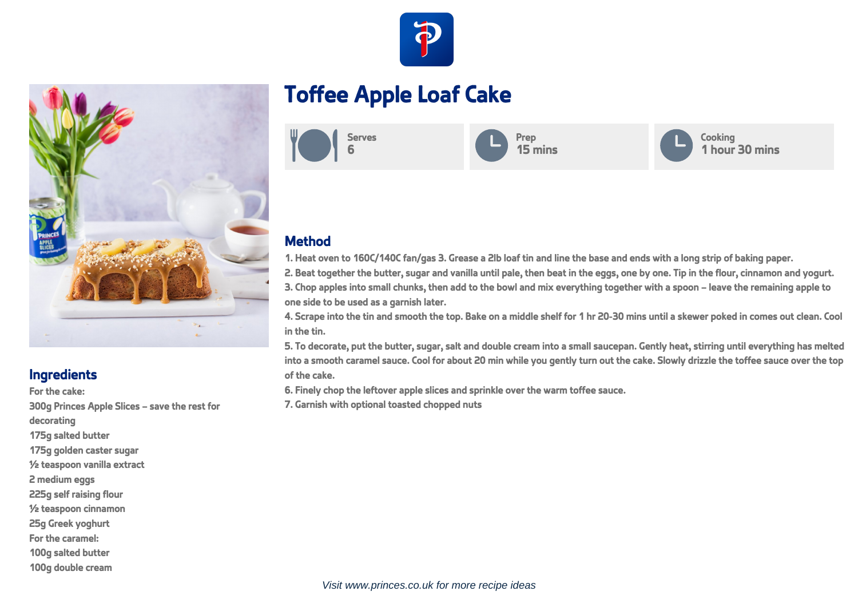



## **Ingredients**

For the cake: 300g Princes Apple Slices – save the rest for decorating 175g salted butter 175g golden caster sugar ½ teaspoon vanilla extract 2 medium eggs 225g self raising flour ½ teaspoon cinnamon 25g Greek yoghurt For the caramel: 100g salted butter 100g double cream

## **Toffee Apple Loaf Cake**



## **Method**

1. Heat oven to 160C/140C fan/gas 3. Grease a 2lb loaf tin and line the base and ends with a long strip of baking paper.

2. Beat together the butter, sugar and vanilla until pale, then beat in the eggs, one by one. Tip in the flour, cinnamon and yogurt.

3. Chop apples into small chunks, then add to the bowl and mix everything together with a spoon – leave the remaining apple to one side to be used as a garnish later.

4. Scrape into the tin and smooth the top. Bake on a middle shelf for 1 hr 20-30 mins until a skewer poked in comes out clean. Cool in the tin.

5. To decorate, put the butter, sugar, salt and double cream into a small saucepan. Gently heat, stirring until everything has melted into a smooth caramel sauce. Cool for about 20 min while you gently turn out the cake. Slowly drizzle the toffee sauce over the top of the cake.

6. Finely chop the leftover apple slices and sprinkle over the warm toffee sauce.

7. Garnish with optional toasted chopped nuts